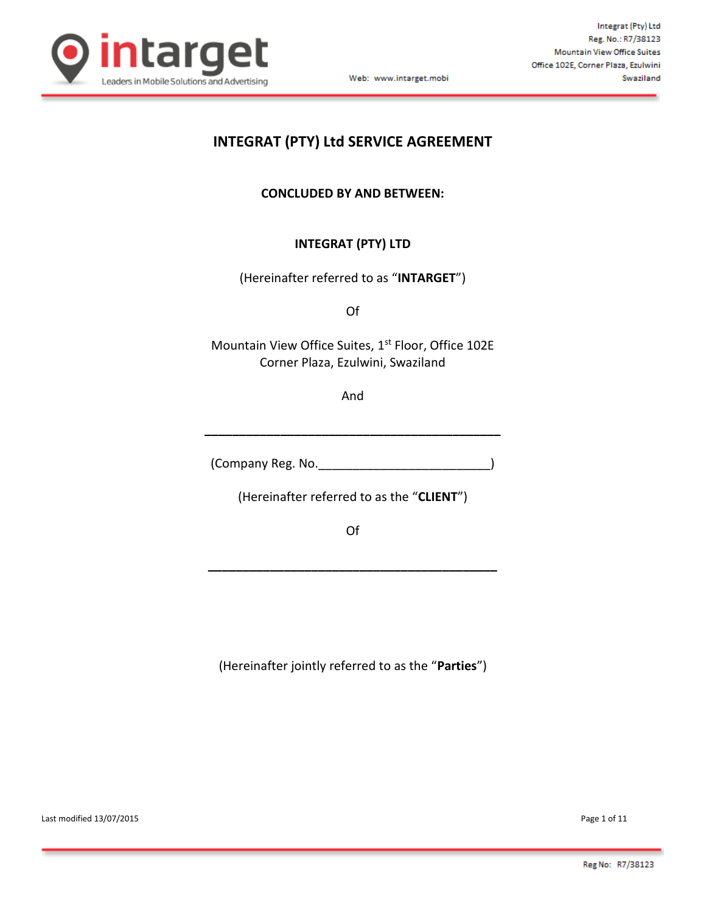

# **INTEGRAT (PTY) Ltd SERVICE AGREEMENT**

**CONCLUDED BY AND BETWEEN:**

# **INTEGRAT (PTY) LTD**

(Hereinafter referred to as "**INTARGET**")

Of

Mountain View Office Suites, 1st Floor, Office 102E Corner Plaza, Ezulwini, Swaziland

And

**\_\_\_\_\_\_\_\_\_\_\_\_\_\_\_\_\_\_\_\_\_\_\_\_\_\_\_\_\_\_\_\_\_\_\_\_\_\_\_\_\_\_\_**

(Company Reg. No.\_\_\_\_\_\_\_\_\_\_\_\_\_\_\_\_\_\_\_\_\_\_\_\_\_)

(Hereinafter referred to as the "**CLIENT**")

Of

**\_\_\_\_\_\_\_\_\_\_\_\_\_\_\_\_\_\_\_\_\_\_\_\_\_\_\_\_\_\_\_\_\_\_\_\_\_\_\_\_\_\_**

(Hereinafter jointly referred to as the "**Parties**")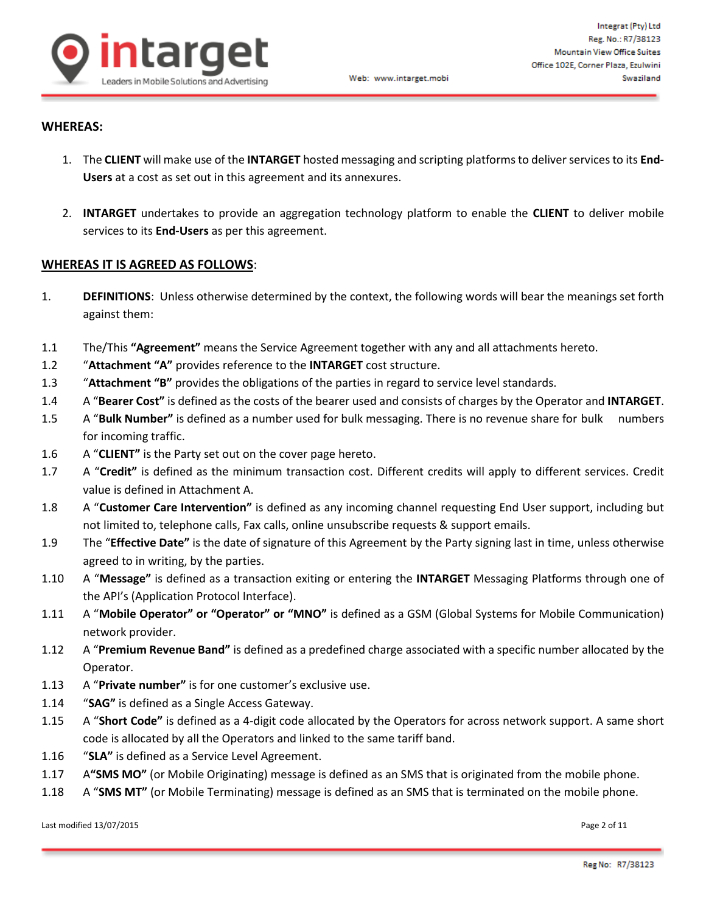

#### **WHEREAS:**

- 1. The **CLIENT** will make use of the **INTARGET** hosted messaging and scripting platforms to deliver services to its **End-Users** at a cost as set out in this agreement and its annexures.
- 2. **INTARGET** undertakes to provide an aggregation technology platform to enable the **CLIENT** to deliver mobile services to its **End-Users** as per this agreement.

#### **WHEREAS IT IS AGREED AS FOLLOWS**:

- 1. **DEFINITIONS**: Unless otherwise determined by the context, the following words will bear the meanings set forth against them:
- 1.1 The/This **"Agreement"** means the Service Agreement together with any and all attachments hereto.
- 1.2 "**Attachment "A"** provides reference to the **INTARGET** cost structure.
- 1.3 "**Attachment "B"** provides the obligations of the parties in regard to service level standards.
- 1.4 A "**Bearer Cost"** is defined as the costs of the bearer used and consists of charges by the Operator and **INTARGET**.
- 1.5 A "**Bulk Number"** is defined as a number used for bulk messaging. There is no revenue share for bulk numbers for incoming traffic.
- 1.6 A "**CLIENT"** is the Party set out on the cover page hereto.
- 1.7 A "**Credit"** is defined as the minimum transaction cost. Different credits will apply to different services. Credit value is defined in Attachment A.
- 1.8 A "**Customer Care Intervention"** is defined as any incoming channel requesting End User support, including but not limited to, telephone calls, Fax calls, online unsubscribe requests & support emails.
- 1.9 The "**Effective Date"** is the date of signature of this Agreement by the Party signing last in time, unless otherwise agreed to in writing, by the parties.
- 1.10 A "**Message"** is defined as a transaction exiting or entering the **INTARGET** Messaging Platforms through one of the API's (Application Protocol Interface).
- 1.11 A "**Mobile Operator" or "Operator" or "MNO"** is defined as a GSM (Global Systems for Mobile Communication) network provider.
- 1.12 A "**Premium Revenue Band"** is defined as a predefined charge associated with a specific number allocated by the Operator.
- 1.13 A "**Private number"** is for one customer's exclusive use.
- 1.14 "**SAG"** is defined as a Single Access Gateway.
- 1.15 A "**Short Code"** is defined as a 4-digit code allocated by the Operators for across network support. A same short code is allocated by all the Operators and linked to the same tariff band.
- 1.16 "**SLA"** is defined as a Service Level Agreement.
- 1.17 A**"SMS MO"** (or Mobile Originating) message is defined as an SMS that is originated from the mobile phone.
- 1.18 A "**SMS MT"** (or Mobile Terminating) message is defined as an SMS that is terminated on the mobile phone.

Last modified 13/07/2015 **Page 2 of 11**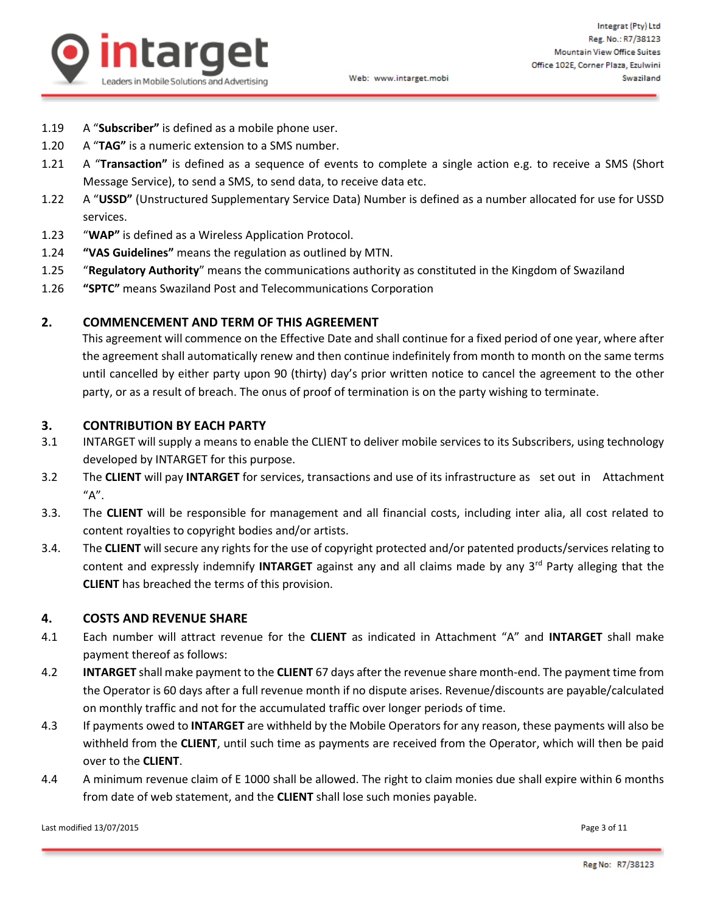

- 1.19 A "**Subscriber"** is defined as a mobile phone user.
- 1.20 A "**TAG"** is a numeric extension to a SMS number.
- 1.21 A "**Transaction"** is defined as a sequence of events to complete a single action e.g. to receive a SMS (Short Message Service), to send a SMS, to send data, to receive data etc.
- 1.22 A "**USSD"** (Unstructured Supplementary Service Data) Number is defined as a number allocated for use for USSD services.
- 1.23 "**WAP"** is defined as a Wireless Application Protocol.
- 1.24 **"VAS Guidelines"** means the regulation as outlined by MTN.
- 1.25 "**Regulatory Authority**" means the communications authority as constituted in the Kingdom of Swaziland
- 1.26 **"SPTC"** means Swaziland Post and Telecommunications Corporation

#### **2. COMMENCEMENT AND TERM OF THIS AGREEMENT**

This agreement will commence on the Effective Date and shall continue for a fixed period of one year, where after the agreement shall automatically renew and then continue indefinitely from month to month on the same terms until cancelled by either party upon 90 (thirty) day's prior written notice to cancel the agreement to the other party, or as a result of breach. The onus of proof of termination is on the party wishing to terminate.

#### **3. CONTRIBUTION BY EACH PARTY**

- 3.1 INTARGET will supply a means to enable the CLIENT to deliver mobile services to its Subscribers, using technology developed by INTARGET for this purpose.
- 3.2 The **CLIENT** will pay **INTARGET** for services, transactions and use of its infrastructure as set out in Attachment "A".
- 3.3. The **CLIENT** will be responsible for management and all financial costs, including inter alia, all cost related to content royalties to copyright bodies and/or artists.
- 3.4. The **CLIENT** will secure any rights for the use of copyright protected and/or patented products/services relating to content and expressly indemnify **INTARGET** against any and all claims made by any 3rd Party alleging that the **CLIENT** has breached the terms of this provision.

#### **4. COSTS AND REVENUE SHARE**

- 4.1 Each number will attract revenue for the **CLIENT** as indicated in Attachment "A" and **INTARGET** shall make payment thereof as follows:
- 4.2 **INTARGET** shall make payment to the **CLIENT** 67 days after the revenue share month-end. The payment time from the Operator is 60 days after a full revenue month if no dispute arises. Revenue/discounts are payable/calculated on monthly traffic and not for the accumulated traffic over longer periods of time.
- 4.3 If payments owed to **INTARGET** are withheld by the Mobile Operators for any reason, these payments will also be withheld from the **CLIENT**, until such time as payments are received from the Operator, which will then be paid over to the **CLIENT**.
- 4.4 A minimum revenue claim of E 1000 shall be allowed. The right to claim monies due shall expire within 6 months from date of web statement, and the **CLIENT** shall lose such monies payable.

Last modified 13/07/2015 Page 3 of 11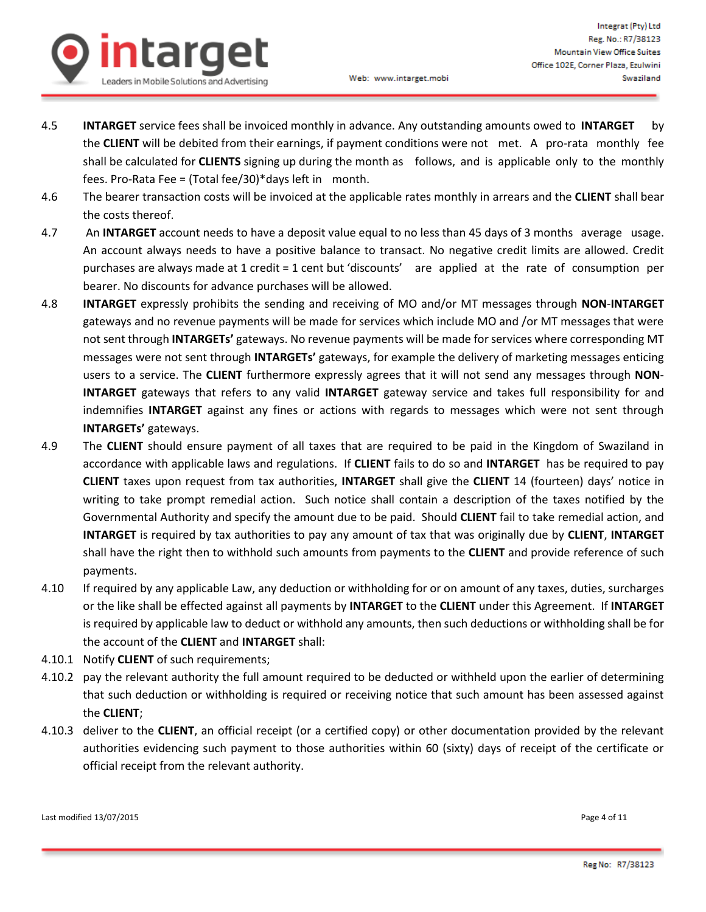

- 4.5 **INTARGET** service fees shall be invoiced monthly in advance. Any outstanding amounts owed to **INTARGET** by the **CLIENT** will be debited from their earnings, if payment conditions were not met. A pro-rata monthly fee shall be calculated for **CLIENTS** signing up during the month as follows, and is applicable only to the monthly fees. Pro-Rata Fee = (Total fee/30)\*days left in month.
- 4.6 The bearer transaction costs will be invoiced at the applicable rates monthly in arrears and the **CLIENT** shall bear the costs thereof.
- 4.7 An **INTARGET** account needs to have a deposit value equal to no less than 45 days of 3 months average usage. An account always needs to have a positive balance to transact. No negative credit limits are allowed. Credit purchases are always made at 1 credit = 1 cent but 'discounts' are applied at the rate of consumption per bearer. No discounts for advance purchases will be allowed.
- 4.8 **INTARGET** expressly prohibits the sending and receiving of MO and/or MT messages through **NON**-**INTARGET** gateways and no revenue payments will be made for services which include MO and /or MT messages that were not sent through **INTARGETs'** gateways. No revenue payments will be made for services where corresponding MT messages were not sent through **INTARGETs'** gateways, for example the delivery of marketing messages enticing users to a service. The **CLIENT** furthermore expressly agrees that it will not send any messages through **NON**-**INTARGET** gateways that refers to any valid **INTARGET** gateway service and takes full responsibility for and indemnifies **INTARGET** against any fines or actions with regards to messages which were not sent through **INTARGETs'** gateways.
- 4.9 The **CLIENT** should ensure payment of all taxes that are required to be paid in the Kingdom of Swaziland in accordance with applicable laws and regulations. If **CLIENT** fails to do so and **INTARGET** has be required to pay **CLIENT** taxes upon request from tax authorities, **INTARGET** shall give the **CLIENT** 14 (fourteen) days' notice in writing to take prompt remedial action. Such notice shall contain a description of the taxes notified by the Governmental Authority and specify the amount due to be paid. Should **CLIENT** fail to take remedial action, and **INTARGET** is required by tax authorities to pay any amount of tax that was originally due by **CLIENT**, **INTARGET** shall have the right then to withhold such amounts from payments to the **CLIENT** and provide reference of such payments.
- 4.10 If required by any applicable Law, any deduction or withholding for or on amount of any taxes, duties, surcharges or the like shall be effected against all payments by **INTARGET** to the **CLIENT** under this Agreement. If **INTARGET** is required by applicable law to deduct or withhold any amounts, then such deductions or withholding shall be for the account of the **CLIENT** and **INTARGET** shall:
- 4.10.1 Notify **CLIENT** of such requirements;
- 4.10.2 pay the relevant authority the full amount required to be deducted or withheld upon the earlier of determining that such deduction or withholding is required or receiving notice that such amount has been assessed against the **CLIENT**;
- 4.10.3 deliver to the **CLIENT**, an official receipt (or a certified copy) or other documentation provided by the relevant authorities evidencing such payment to those authorities within 60 (sixty) days of receipt of the certificate or official receipt from the relevant authority.

Last modified 13/07/2015 Page 4 of 11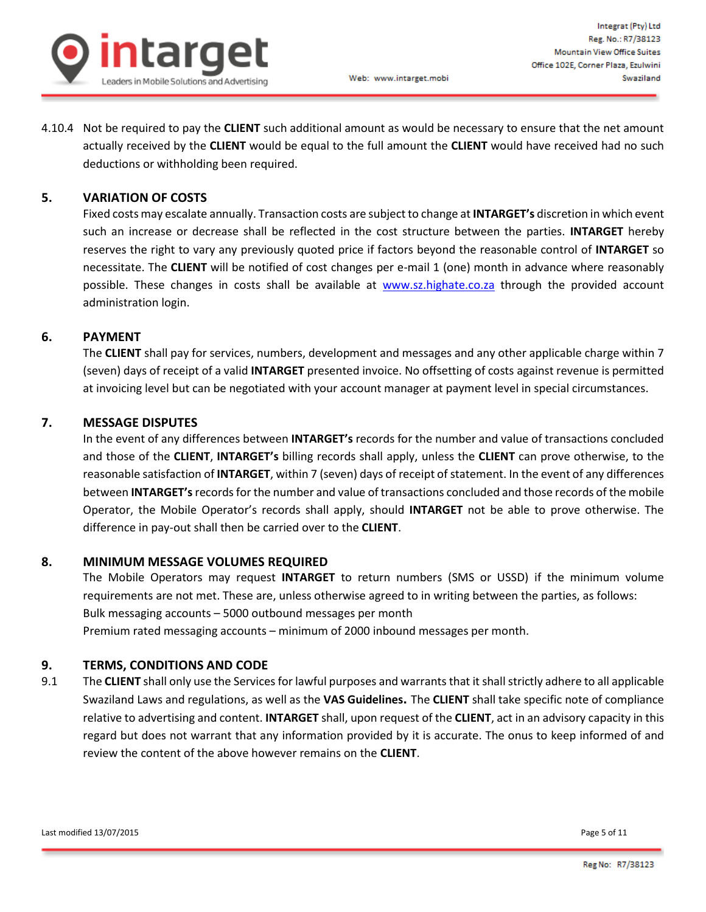

4.10.4 Not be required to pay the **CLIENT** such additional amount as would be necessary to ensure that the net amount actually received by the **CLIENT** would be equal to the full amount the **CLIENT** would have received had no such deductions or withholding been required.

## **5. VARIATION OF COSTS**

Fixed costs may escalate annually. Transaction costs are subject to change at **INTARGET's** discretion in which event such an increase or decrease shall be reflected in the cost structure between the parties. **INTARGET** hereby reserves the right to vary any previously quoted price if factors beyond the reasonable control of **INTARGET** so necessitate. The **CLIENT** will be notified of cost changes per e-mail 1 (one) month in advance where reasonably possible. These changes in costs shall be available at [www.sz.highate.co.za](http://www.sz.highate.co.za/) through the provided account administration login.

#### **6. PAYMENT**

The **CLIENT** shall pay for services, numbers, development and messages and any other applicable charge within 7 (seven) days of receipt of a valid **INTARGET** presented invoice. No offsetting of costs against revenue is permitted at invoicing level but can be negotiated with your account manager at payment level in special circumstances.

#### **7. MESSAGE DISPUTES**

In the event of any differences between **INTARGET's** records for the number and value of transactions concluded and those of the **CLIENT**, **INTARGET's** billing records shall apply, unless the **CLIENT** can prove otherwise, to the reasonable satisfaction of **INTARGET**, within 7 (seven) days of receipt of statement. In the event of any differences between **INTARGET's**records for the number and value of transactions concluded and those records of the mobile Operator, the Mobile Operator's records shall apply, should **INTARGET** not be able to prove otherwise. The difference in pay-out shall then be carried over to the **CLIENT**.

#### **8. MINIMUM MESSAGE VOLUMES REQUIRED**

The Mobile Operators may request **INTARGET** to return numbers (SMS or USSD) if the minimum volume requirements are not met. These are, unless otherwise agreed to in writing between the parties, as follows: Bulk messaging accounts – 5000 outbound messages per month Premium rated messaging accounts – minimum of 2000 inbound messages per month.

#### **9. TERMS, CONDITIONS AND CODE**

9.1 The **CLIENT** shall only use the Services for lawful purposes and warrants that it shall strictly adhere to all applicable Swaziland Laws and regulations, as well as the **VAS Guidelines.** The **CLIENT** shall take specific note of compliance relative to advertising and content. **INTARGET** shall, upon request of the **CLIENT**, act in an advisory capacity in this regard but does not warrant that any information provided by it is accurate. The onus to keep informed of and review the content of the above however remains on the **CLIENT**.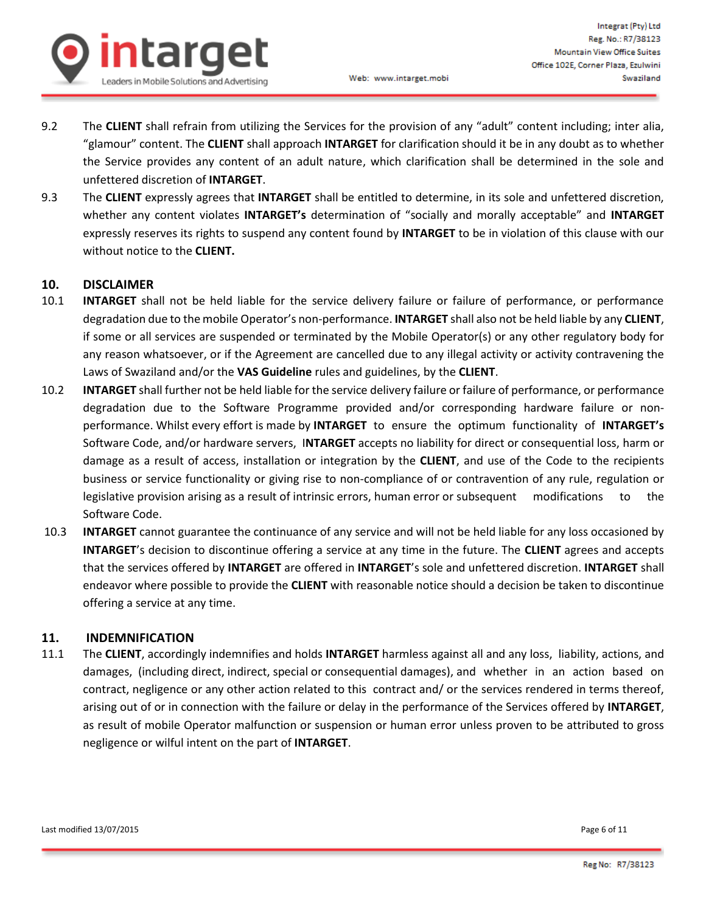

9.2 The **CLIENT** shall refrain from utilizing the Services for the provision of any "adult" content including; inter alia, "glamour" content. The **CLIENT** shall approach **INTARGET** for clarification should it be in any doubt as to whether the Service provides any content of an adult nature, which clarification shall be determined in the sole and unfettered discretion of **INTARGET**.

Web: www.intarget.mobi

9.3 The **CLIENT** expressly agrees that **INTARGET** shall be entitled to determine, in its sole and unfettered discretion, whether any content violates **INTARGET's** determination of "socially and morally acceptable" and **INTARGET** expressly reserves its rights to suspend any content found by **INTARGET** to be in violation of this clause with our without notice to the **CLIENT.** 

#### **10. DISCLAIMER**

- 10.1 **INTARGET** shall not be held liable for the service delivery failure or failure of performance, or performance degradation due to the mobile Operator's non-performance. **INTARGET** shall also not be held liable by any **CLIENT**, if some or all services are suspended or terminated by the Mobile Operator(s) or any other regulatory body for any reason whatsoever, or if the Agreement are cancelled due to any illegal activity or activity contravening the Laws of Swaziland and/or the **VAS Guideline** rules and guidelines, by the **CLIENT**.
- 10.2 **INTARGET** shall further not be held liable for the service delivery failure or failure of performance, or performance degradation due to the Software Programme provided and/or corresponding hardware failure or nonperformance. Whilst every effort is made by **INTARGET** to ensure the optimum functionality of **INTARGET's** Software Code, and/or hardware servers, I**NTARGET** accepts no liability for direct or consequential loss, harm or damage as a result of access, installation or integration by the **CLIENT**, and use of the Code to the recipients business or service functionality or giving rise to non-compliance of or contravention of any rule, regulation or legislative provision arising as a result of intrinsic errors, human error or subsequent modifications to the Software Code.
- 10.3 **INTARGET** cannot guarantee the continuance of any service and will not be held liable for any loss occasioned by **INTARGET**'s decision to discontinue offering a service at any time in the future. The **CLIENT** agrees and accepts that the services offered by **INTARGET** are offered in **INTARGET**'s sole and unfettered discretion. **INTARGET** shall endeavor where possible to provide the **CLIENT** with reasonable notice should a decision be taken to discontinue offering a service at any time.

#### **11. INDEMNIFICATION**

11.1 The **CLIENT**, accordingly indemnifies and holds **INTARGET** harmless against all and any loss, liability, actions, and damages, (including direct, indirect, special or consequential damages), and whether in an action based on contract, negligence or any other action related to this contract and/ or the services rendered in terms thereof, arising out of or in connection with the failure or delay in the performance of the Services offered by **INTARGET**, as result of mobile Operator malfunction or suspension or human error unless proven to be attributed to gross negligence or wilful intent on the part of **INTARGET**.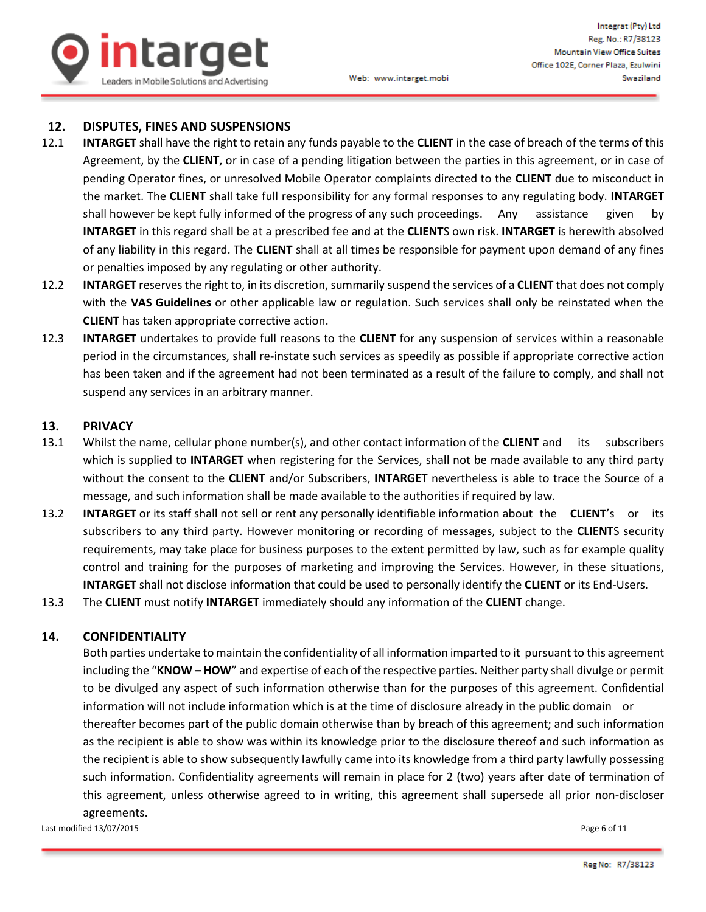

#### **12. DISPUTES, FINES AND SUSPENSIONS**

- 12.1 **INTARGET** shall have the right to retain any funds payable to the **CLIENT** in the case of breach of the terms of this Agreement, by the **CLIENT**, or in case of a pending litigation between the parties in this agreement, or in case of pending Operator fines, or unresolved Mobile Operator complaints directed to the **CLIENT** due to misconduct in the market. The **CLIENT** shall take full responsibility for any formal responses to any regulating body. **INTARGET** shall however be kept fully informed of the progress of any such proceedings. Any assistance given by **INTARGET** in this regard shall be at a prescribed fee and at the **CLIENT**S own risk. **INTARGET** is herewith absolved of any liability in this regard. The **CLIENT** shall at all times be responsible for payment upon demand of any fines or penalties imposed by any regulating or other authority.
- 12.2 **INTARGET** reserves the right to, in its discretion, summarily suspend the services of a **CLIENT** that does not comply with the **VAS Guidelines** or other applicable law or regulation. Such services shall only be reinstated when the **CLIENT** has taken appropriate corrective action.
- 12.3 **INTARGET** undertakes to provide full reasons to the **CLIENT** for any suspension of services within a reasonable period in the circumstances, shall re-instate such services as speedily as possible if appropriate corrective action has been taken and if the agreement had not been terminated as a result of the failure to comply, and shall not suspend any services in an arbitrary manner.

#### **13. PRIVACY**

- 13.1 Whilst the name, cellular phone number(s), and other contact information of the **CLIENT** and its subscribers which is supplied to **INTARGET** when registering for the Services, shall not be made available to any third party without the consent to the **CLIENT** and/or Subscribers, **INTARGET** nevertheless is able to trace the Source of a message, and such information shall be made available to the authorities if required by law.
- 13.2 **INTARGET** or its staff shall not sell or rent any personally identifiable information about the **CLIENT**'s or its subscribers to any third party. However monitoring or recording of messages, subject to the **CLIENT**S security requirements, may take place for business purposes to the extent permitted by law, such as for example quality control and training for the purposes of marketing and improving the Services. However, in these situations, **INTARGET** shall not disclose information that could be used to personally identify the **CLIENT** or its End-Users.
- 13.3 The **CLIENT** must notify **INTARGET** immediately should any information of the **CLIENT** change.

#### **14. CONFIDENTIALITY**

Both parties undertake to maintain the confidentiality of all information imparted to it pursuant to this agreement including the "**KNOW – HOW**" and expertise of each of the respective parties. Neither party shall divulge or permit to be divulged any aspect of such information otherwise than for the purposes of this agreement. Confidential information will not include information which is at the time of disclosure already in the public domain or thereafter becomes part of the public domain otherwise than by breach of this agreement; and such information as the recipient is able to show was within its knowledge prior to the disclosure thereof and such information as the recipient is able to show subsequently lawfully came into its knowledge from a third party lawfully possessing such information. Confidentiality agreements will remain in place for 2 (two) years after date of termination of this agreement, unless otherwise agreed to in writing, this agreement shall supersede all prior non-discloser agreements.

Last modified 13/07/2015 **Page 6 of 11**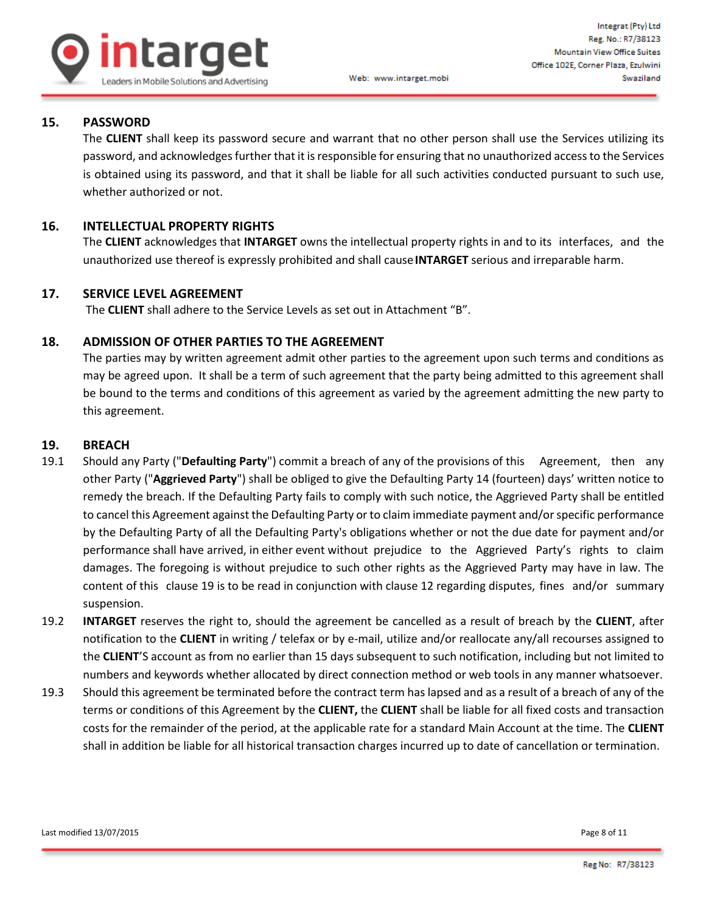

## **15. PASSWORD**

The **CLIENT** shall keep its password secure and warrant that no other person shall use the Services utilizing its password, and acknowledges further that it is responsible for ensuring that no unauthorized access to the Services is obtained using its password, and that it shall be liable for all such activities conducted pursuant to such use, whether authorized or not.

Web: www.intarget.mobi

### **16. INTELLECTUAL PROPERTY RIGHTS**

The **CLIENT** acknowledges that **INTARGET** owns the intellectual property rights in and to its interfaces, and the unauthorized use thereof is expressly prohibited and shall cause**INTARGET** serious and irreparable harm.

#### **17. SERVICE LEVEL AGREEMENT**

The **CLIENT** shall adhere to the Service Levels as set out in Attachment "B".

#### **18. ADMISSION OF OTHER PARTIES TO THE AGREEMENT**

The parties may by written agreement admit other parties to the agreement upon such terms and conditions as may be agreed upon. It shall be a term of such agreement that the party being admitted to this agreement shall be bound to the terms and conditions of this agreement as varied by the agreement admitting the new party to this agreement.

#### **19. BREACH**

- 19.1 Should any Party ("**Defaulting Party**") commit a breach of any of the provisions of this Agreement, then any other Party ("**Aggrieved Party**") shall be obliged to give the Defaulting Party 14 (fourteen) days' written notice to remedy the breach. If the Defaulting Party fails to comply with such notice, the Aggrieved Party shall be entitled to cancel this Agreement against the Defaulting Party or to claim immediate payment and/or specific performance by the Defaulting Party of all the Defaulting Party's obligations whether or not the due date for payment and/or performance shall have arrived, in either event without prejudice to the Aggrieved Party's rights to claim damages. The foregoing is without prejudice to such other rights as the Aggrieved Party may have in law. The content of this clause 19 is to be read in conjunction with clause 12 regarding disputes, fines and/or summary suspension.
- 19.2 **INTARGET** reserves the right to, should the agreement be cancelled as a result of breach by the **CLIENT**, after notification to the **CLIENT** in writing / telefax or by e-mail, utilize and/or reallocate any/all recourses assigned to the **CLIENT**'S account as from no earlier than 15 days subsequent to such notification, including but not limited to numbers and keywords whether allocated by direct connection method or web tools in any manner whatsoever.
- 19.3 Should this agreement be terminated before the contract term has lapsed and as a result of a breach of any of the terms or conditions of this Agreement by the **CLIENT,** the **CLIENT** shall be liable for all fixed costs and transaction costs for the remainder of the period, at the applicable rate for a standard Main Account at the time. The **CLIENT** shall in addition be liable for all historical transaction charges incurred up to date of cancellation or termination.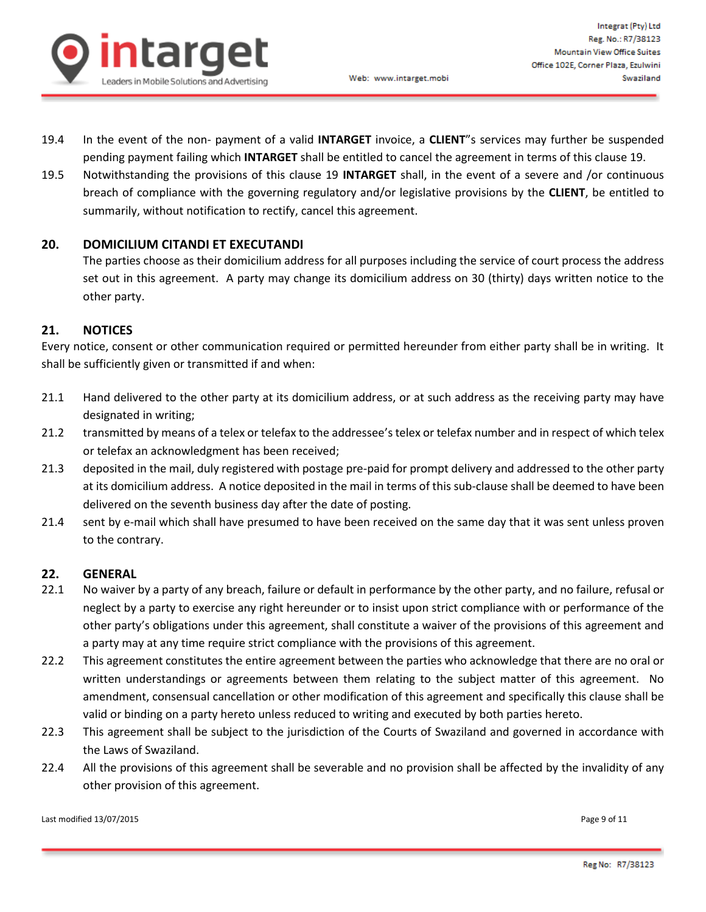

- 19.4 In the event of the non- payment of a valid **INTARGET** invoice, a **CLIENT**"s services may further be suspended pending payment failing which **INTARGET** shall be entitled to cancel the agreement in terms of this clause 19.
- 19.5 Notwithstanding the provisions of this clause 19 **INTARGET** shall, in the event of a severe and /or continuous breach of compliance with the governing regulatory and/or legislative provisions by the **CLIENT**, be entitled to summarily, without notification to rectify, cancel this agreement.

#### **20. DOMICILIUM CITANDI ET EXECUTANDI**

The parties choose as their domicilium address for all purposes including the service of court process the address set out in this agreement. A party may change its domicilium address on 30 (thirty) days written notice to the other party.

#### **21. NOTICES**

Every notice, consent or other communication required or permitted hereunder from either party shall be in writing. It shall be sufficiently given or transmitted if and when:

- 21.1 Hand delivered to the other party at its domicilium address, or at such address as the receiving party may have designated in writing;
- 21.2 transmitted by means of a telex or telefax to the addressee's telex or telefax number and in respect of which telex or telefax an acknowledgment has been received;
- 21.3 deposited in the mail, duly registered with postage pre-paid for prompt delivery and addressed to the other party at its domicilium address. A notice deposited in the mail in terms of this sub-clause shall be deemed to have been delivered on the seventh business day after the date of posting.
- 21.4 sent by e-mail which shall have presumed to have been received on the same day that it was sent unless proven to the contrary.

#### **22. GENERAL**

- 22.1 No waiver by a party of any breach, failure or default in performance by the other party, and no failure, refusal or neglect by a party to exercise any right hereunder or to insist upon strict compliance with or performance of the other party's obligations under this agreement, shall constitute a waiver of the provisions of this agreement and a party may at any time require strict compliance with the provisions of this agreement.
- 22.2 This agreement constitutes the entire agreement between the parties who acknowledge that there are no oral or written understandings or agreements between them relating to the subject matter of this agreement. No amendment, consensual cancellation or other modification of this agreement and specifically this clause shall be valid or binding on a party hereto unless reduced to writing and executed by both parties hereto.
- 22.3 This agreement shall be subject to the jurisdiction of the Courts of Swaziland and governed in accordance with the Laws of Swaziland.
- 22.4 All the provisions of this agreement shall be severable and no provision shall be affected by the invalidity of any other provision of this agreement.

Last modified 13/07/2015 **Page 9 of 11**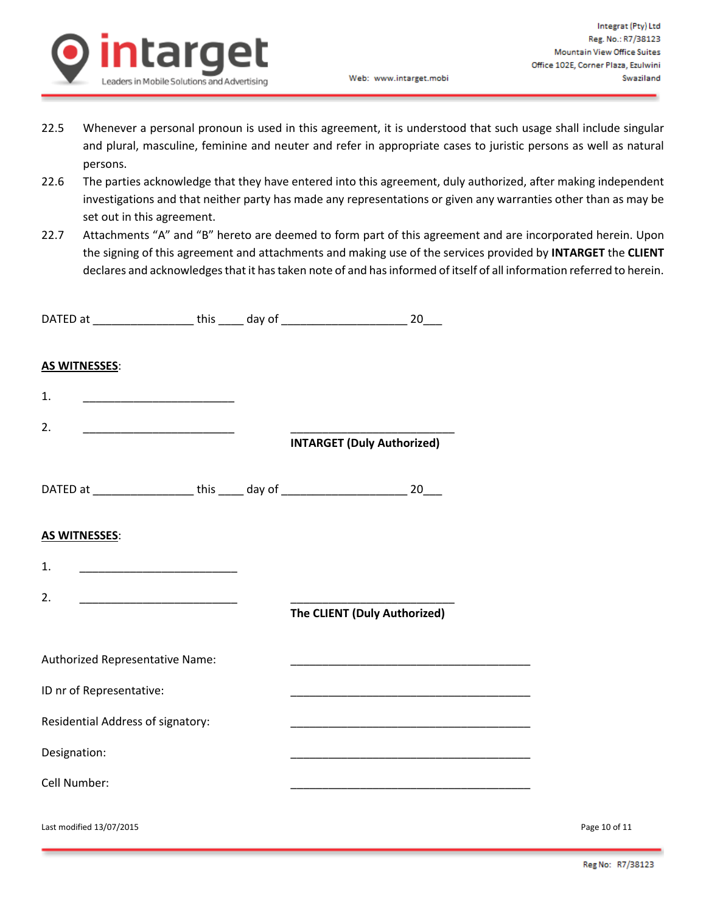

- 22.5 Whenever a personal pronoun is used in this agreement, it is understood that such usage shall include singular and plural, masculine, feminine and neuter and refer in appropriate cases to juristic persons as well as natural persons.
- 22.6 The parties acknowledge that they have entered into this agreement, duly authorized, after making independent investigations and that neither party has made any representations or given any warranties other than as may be set out in this agreement.
- 22.7 Attachments "A" and "B" hereto are deemed to form part of this agreement and are incorporated herein. Upon the signing of this agreement and attachments and making use of the services provided by **INTARGET** the **CLIENT** declares and acknowledges that it has taken note of and has informed of itself of all information referred to herein.

|                          |                                                                                                                      |  | DATED at _____________________ this _____ day of ______________________________ 20____  |               |
|--------------------------|----------------------------------------------------------------------------------------------------------------------|--|-----------------------------------------------------------------------------------------|---------------|
| <b>AS WITNESSES:</b>     |                                                                                                                      |  |                                                                                         |               |
| 1.                       |                                                                                                                      |  |                                                                                         |               |
| 2.                       |                                                                                                                      |  | <b>INTARGET (Duly Authorized)</b>                                                       |               |
|                          |                                                                                                                      |  | DATED at _____________________this ______ day of _______________________________ 20____ |               |
| <b>AS WITNESSES:</b>     |                                                                                                                      |  |                                                                                         |               |
| 1.                       | <u> 1989 - Johann John Harry, mars eta bainar eta industrial eta erromana eta erromana eta erromana eta erromana</u> |  |                                                                                         |               |
| 2.                       |                                                                                                                      |  | The CLIENT (Duly Authorized)                                                            |               |
|                          | Authorized Representative Name:                                                                                      |  |                                                                                         |               |
|                          | ID nr of Representative:                                                                                             |  |                                                                                         |               |
|                          | Residential Address of signatory:                                                                                    |  |                                                                                         |               |
| Designation:             |                                                                                                                      |  | <u> 1989 - Johann John Stone, mension al-Amerikaan parte (</u>                          |               |
| Cell Number:             |                                                                                                                      |  | <u> 1980 - Johann John Stone, mars eta biztanleria (h. 1980).</u>                       |               |
| Last modified 13/07/2015 |                                                                                                                      |  |                                                                                         | Page 10 of 11 |